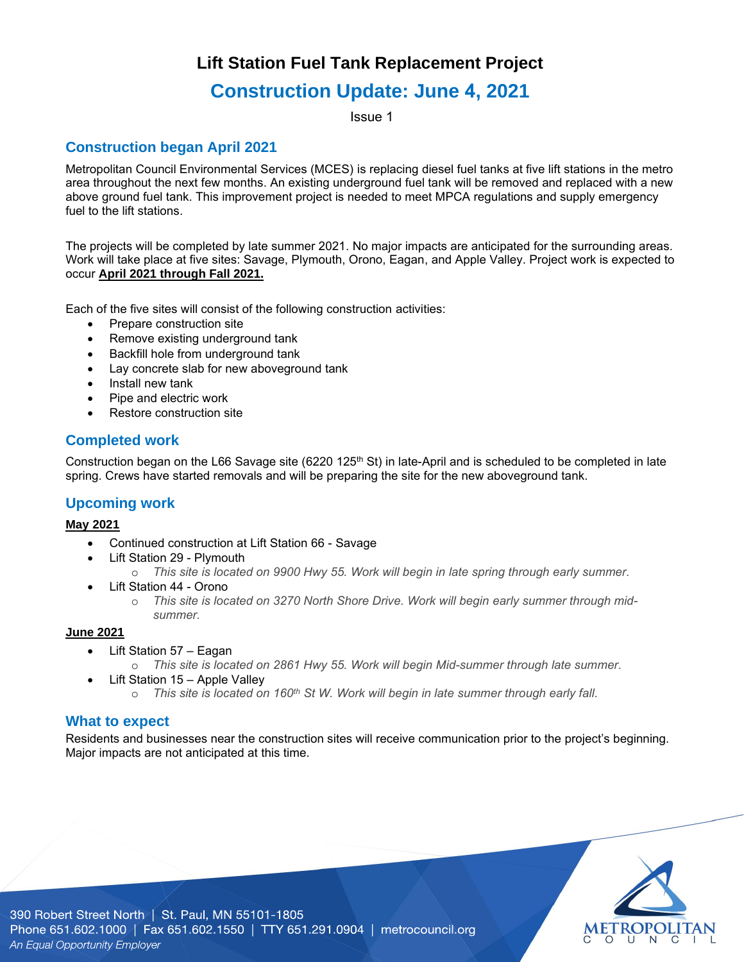## **Lift Station Fuel Tank Replacement Project**

# **Construction Update: June 4, 2021**

Issue 1

### **Construction began April 2021**

Metropolitan Council Environmental Services (MCES) is replacing diesel fuel tanks at five lift stations in the metro area throughout the next few months. An existing underground fuel tank will be removed and replaced with a new above ground fuel tank. This improvement project is needed to meet MPCA regulations and supply emergency fuel to the lift stations.

The projects will be completed by late summer 2021. No major impacts are anticipated for the surrounding areas. Work will take place at five sites: Savage, Plymouth, Orono, Eagan, and Apple Valley. Project work is expected to occur **April 2021 through Fall 2021.**

Each of the five sites will consist of the following construction activities:

- Prepare construction site
- Remove existing underground tank
- Backfill hole from underground tank
- Lay concrete slab for new aboveground tank
- Install new tank
- Pipe and electric work
- Restore construction site

### **Completed work**

Construction began on the L66 Savage site (6220 125<sup>th</sup> St) in late-April and is scheduled to be completed in late spring. Crews have started removals and will be preparing the site for the new aboveground tank.

#### **Upcoming work**

#### **May 2021**

- Continued construction at Lift Station 66 Savage
- Lift Station 29 Plymouth
	- o *This site is located on 9900 Hwy 55. Work will begin in late spring through early summer.*
- Lift Station 44 Orono
	- o *This site is located on 3270 North Shore Drive. Work will begin early summer through midsummer.*

#### **June 2021**

- Lift Station 57 Eagan
	- o *This site is located on 2861 Hwy 55. Work will begin Mid-summer through late summer.*
- Lift Station 15 Apple Valley
	- o *This site is located on 160th St W. Work will begin in late summer through early fall.*

#### **What to expect**

Residents and businesses near the construction sites will receive communication prior to the project's beginning. Major impacts are not anticipated at this time.



390 Robert Street North | St. Paul, MN 55101-1805 Phone 651.602.1000 | Fax 651.602.1550 | TTY 651.291.0904 | metrocouncil.org An Equal Opportunity Employer